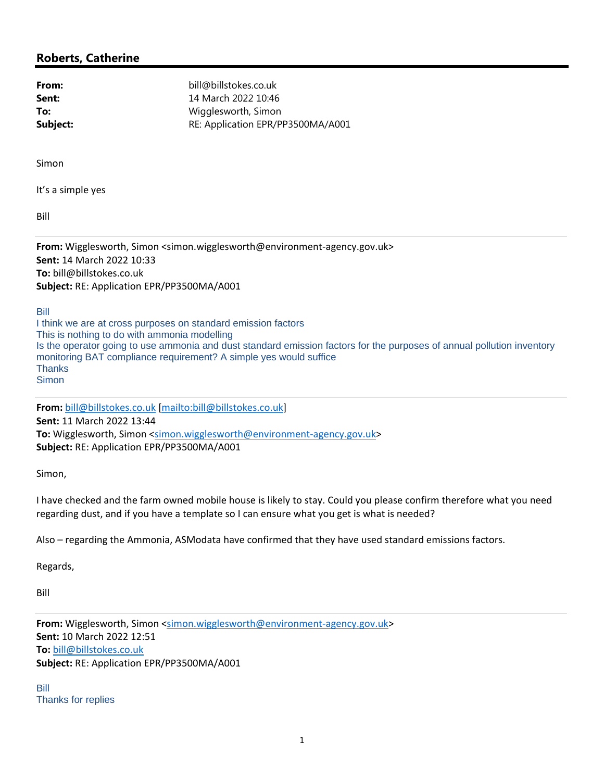## **Roberts, Catherine**

| bill@billstokes.co.uk             |
|-----------------------------------|
| 14 March 2022 10:46               |
| Wigglesworth, Simon               |
| RE: Application EPR/PP3500MA/A001 |
|                                   |

Simon

It's a simple yes

Bill

**From:** Wigglesworth, Simon <simon.wigglesworth@environment‐agency.gov.uk> **Sent:** 14 March 2022 10:33 **To:** bill@billstokes.co.uk **Subject:** RE: Application EPR/PP3500MA/A001

Bill

I think we are at cross purposes on standard emission factors This is nothing to do with ammonia modelling Is the operator going to use ammonia and dust standard emission factors for the purposes of annual pollution inventory monitoring BAT compliance requirement? A simple yes would suffice **Thanks Simon** 

**From:** bill@billstokes.co.uk [mailto:bill@billstokes.co.uk] **Sent:** 11 March 2022 13:44 To: Wigglesworth, Simon <simon.wigglesworth@environment-agency.gov.uk> **Subject:** RE: Application EPR/PP3500MA/A001

Simon,

I have checked and the farm owned mobile house is likely to stay. Could you please confirm therefore what you need regarding dust, and if you have a template so I can ensure what you get is what is needed?

Also – regarding the Ammonia, ASModata have confirmed that they have used standard emissions factors.

Regards,

Bill

From: Wigglesworth, Simon <simon.wigglesworth@environment-agency.gov.uk> **Sent:** 10 March 2022 12:51 **To:** bill@billstokes.co.uk **Subject:** RE: Application EPR/PP3500MA/A001

Bill Thanks for replies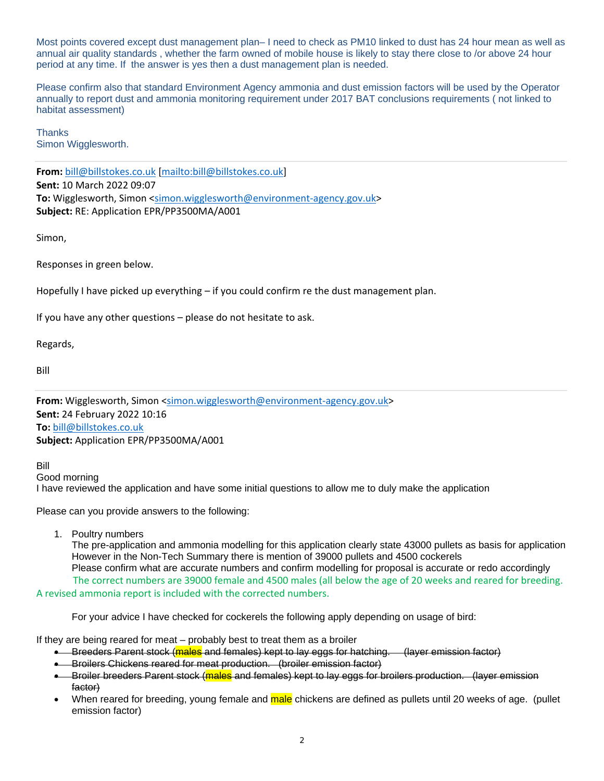Most points covered except dust management plan– I need to check as PM10 linked to dust has 24 hour mean as well as annual air quality standards , whether the farm owned of mobile house is likely to stay there close to /or above 24 hour period at any time. If the answer is yes then a dust management plan is needed.

Please confirm also that standard Environment Agency ammonia and dust emission factors will be used by the Operator annually to report dust and ammonia monitoring requirement under 2017 BAT conclusions requirements ( not linked to habitat assessment)

**Thanks** Simon Wigglesworth.

**From:** bill@billstokes.co.uk [mailto:bill@billstokes.co.uk] **Sent:** 10 March 2022 09:07 To: Wigglesworth, Simon <simon.wigglesworth@environment-agency.gov.uk> **Subject:** RE: Application EPR/PP3500MA/A001

Simon,

Responses in green below.

Hopefully I have picked up everything – if you could confirm re the dust management plan.

If you have any other questions – please do not hesitate to ask.

Regards,

Bill

From: Wigglesworth, Simon <simon.wigglesworth@environment-agency.gov.uk> **Sent:** 24 February 2022 10:16 **To:** bill@billstokes.co.uk **Subject:** Application EPR/PP3500MA/A001

Bill

Good morning I have reviewed the application and have some initial questions to allow me to duly make the application

Please can you provide answers to the following:

1. Poultry numbers

The pre-application and ammonia modelling for this application clearly state 43000 pullets as basis for application However in the Non-Tech Summary there is mention of 39000 pullets and 4500 cockerels Please confirm what are accurate numbers and confirm modelling for proposal is accurate or redo accordingly The correct numbers are 39000 female and 4500 males (all below the age of 20 weeks and reared for breeding. A revised ammonia report is included with the corrected numbers.

For your advice I have checked for cockerels the following apply depending on usage of bird:

If they are being reared for meat – probably best to treat them as a broiler

- **Breeders Parent stock (males** and females) kept to lay eggs for hatching. (layer emission factor)
- Broilers Chickens reared for meat production. (broiler emission factor)
- Broiler breeders Parent stock (males and females) kept to lay eggs for broilers production. (layer emission factor)
- When reared for breeding, young female and male chickens are defined as pullets until 20 weeks of age. (pullet emission factor)